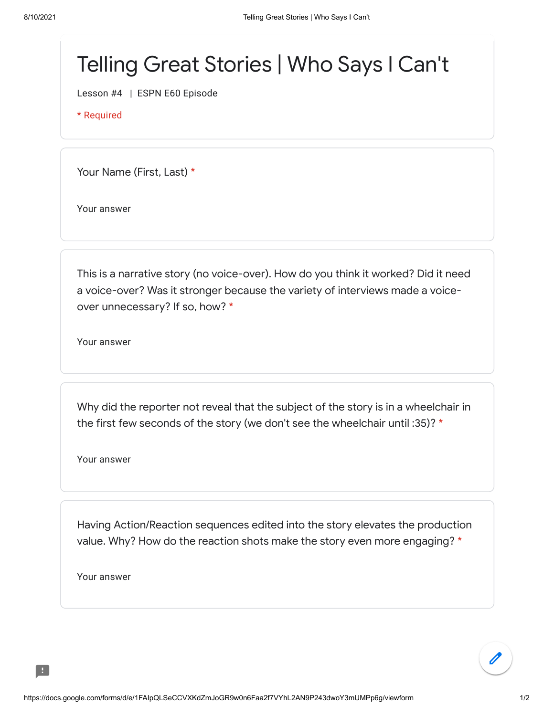## Telling Great Stories | Who Says I Can't

Lesson #4 | ESPN E60 Episode

\* Required

Your Name (First, Last) \*

Your answer

This is a narrative story (no voice-over). How do you think it worked? Did it need a voice-over? Was it stronger because the variety of interviews made a voiceover unnecessary? If so, how? \*

Your answer

Why did the reporter not reveal that the subject of the story is in a wheelchair in the first few seconds of the story (we don't see the wheelchair until :35)? \*

Your answer

Having Action/Reaction sequences edited into the story elevates the production value. Why? How do the reaction shots make the story even more engaging? \*

Your answer